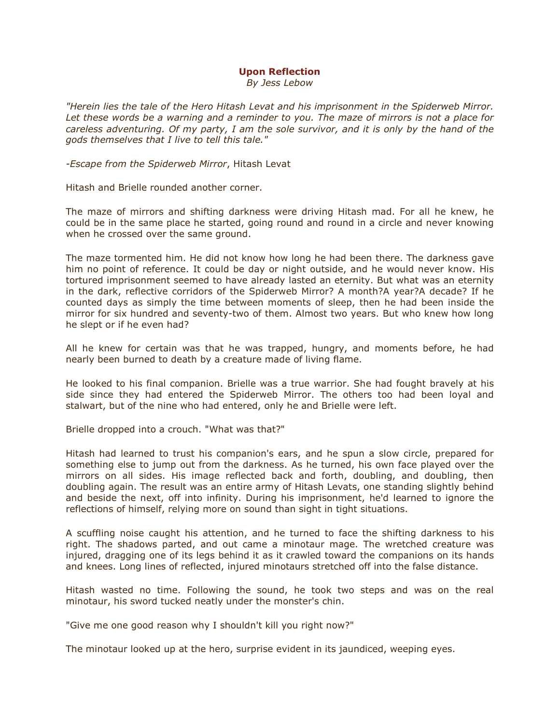## Upon Reflection

By Jess Lebow

"Herein lies the tale of the Hero Hitash Levat and his imprisonment in the Spiderweb Mirror. Let these words be a warning and a reminder to you. The maze of mirrors is not a place for careless adventuring. Of my party, I am the sole survivor, and it is only by the hand of the gods themselves that I live to tell this tale."

-Escape from the Spiderweb Mirror, Hitash Levat

Hitash and Brielle rounded another corner.

The maze of mirrors and shifting darkness were driving Hitash mad. For all he knew, he could be in the same place he started, going round and round in a circle and never knowing when he crossed over the same ground.

The maze tormented him. He did not know how long he had been there. The darkness gave him no point of reference. It could be day or night outside, and he would never know. His tortured imprisonment seemed to have already lasted an eternity. But what was an eternity in the dark, reflective corridors of the Spiderweb Mirror? A month?A year?A decade? If he counted days as simply the time between moments of sleep, then he had been inside the mirror for six hundred and seventy-two of them. Almost two years. But who knew how long he slept or if he even had?

All he knew for certain was that he was trapped, hungry, and moments before, he had nearly been burned to death by a creature made of living flame.

He looked to his final companion. Brielle was a true warrior. She had fought bravely at his side since they had entered the Spiderweb Mirror. The others too had been loyal and stalwart, but of the nine who had entered, only he and Brielle were left.

Brielle dropped into a crouch. "What was that?"

Hitash had learned to trust his companion's ears, and he spun a slow circle, prepared for something else to jump out from the darkness. As he turned, his own face played over the mirrors on all sides. His image reflected back and forth, doubling, and doubling, then doubling again. The result was an entire army of Hitash Levats, one standing slightly behind and beside the next, off into infinity. During his imprisonment, he'd learned to ignore the reflections of himself, relying more on sound than sight in tight situations.

A scuffling noise caught his attention, and he turned to face the shifting darkness to his right. The shadows parted, and out came a minotaur mage. The wretched creature was injured, dragging one of its legs behind it as it crawled toward the companions on its hands and knees. Long lines of reflected, injured minotaurs stretched off into the false distance.

Hitash wasted no time. Following the sound, he took two steps and was on the real minotaur, his sword tucked neatly under the monster's chin.

"Give me one good reason why I shouldn't kill you right now?"

The minotaur looked up at the hero, surprise evident in its jaundiced, weeping eyes.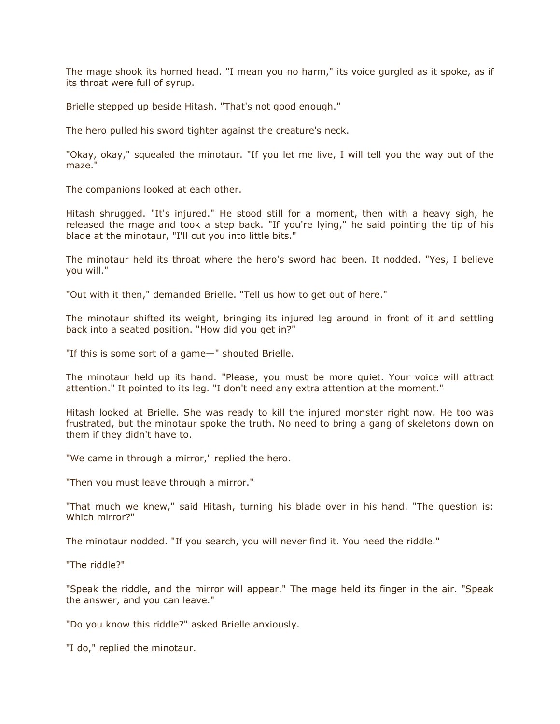The mage shook its horned head. "I mean you no harm," its voice gurgled as it spoke, as if its throat were full of syrup.

Brielle stepped up beside Hitash. "That's not good enough."

The hero pulled his sword tighter against the creature's neck.

"Okay, okay," squealed the minotaur. "If you let me live, I will tell you the way out of the maze."

The companions looked at each other.

Hitash shrugged. "It's injured." He stood still for a moment, then with a heavy sigh, he released the mage and took a step back. "If you're lying," he said pointing the tip of his blade at the minotaur, "I'll cut you into little bits."

The minotaur held its throat where the hero's sword had been. It nodded. "Yes, I believe you will."

"Out with it then," demanded Brielle. "Tell us how to get out of here."

The minotaur shifted its weight, bringing its injured leg around in front of it and settling back into a seated position. "How did you get in?"

"If this is some sort of a game—" shouted Brielle.

The minotaur held up its hand. "Please, you must be more quiet. Your voice will attract attention." It pointed to its leg. "I don't need any extra attention at the moment."

Hitash looked at Brielle. She was ready to kill the injured monster right now. He too was frustrated, but the minotaur spoke the truth. No need to bring a gang of skeletons down on them if they didn't have to.

"We came in through a mirror," replied the hero.

"Then you must leave through a mirror."

"That much we knew," said Hitash, turning his blade over in his hand. "The question is: Which mirror?"

The minotaur nodded. "If you search, you will never find it. You need the riddle."

"The riddle?"

"Speak the riddle, and the mirror will appear." The mage held its finger in the air. "Speak the answer, and you can leave."

"Do you know this riddle?" asked Brielle anxiously.

"I do," replied the minotaur.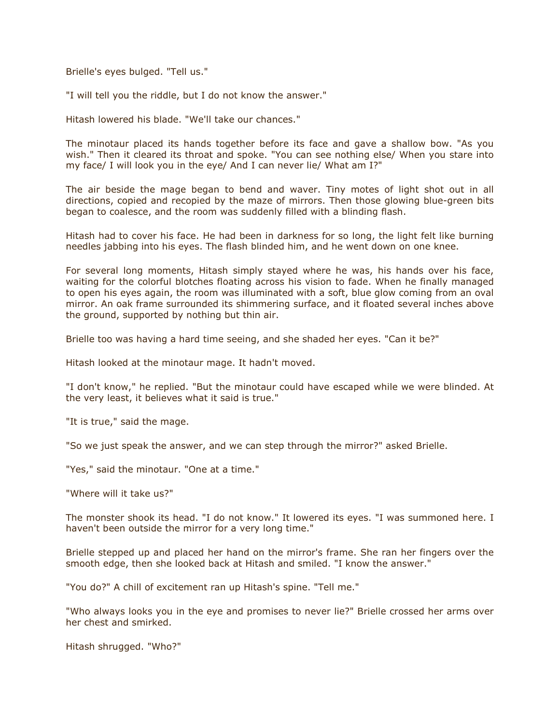Brielle's eyes bulged. "Tell us."

"I will tell you the riddle, but I do not know the answer."

Hitash lowered his blade. "We'll take our chances."

The minotaur placed its hands together before its face and gave a shallow bow. "As you wish." Then it cleared its throat and spoke. "You can see nothing else/ When you stare into my face/ I will look you in the eye/ And I can never lie/ What am I?"

The air beside the mage began to bend and waver. Tiny motes of light shot out in all directions, copied and recopied by the maze of mirrors. Then those glowing blue-green bits began to coalesce, and the room was suddenly filled with a blinding flash.

Hitash had to cover his face. He had been in darkness for so long, the light felt like burning needles jabbing into his eyes. The flash blinded him, and he went down on one knee.

For several long moments, Hitash simply stayed where he was, his hands over his face, waiting for the colorful blotches floating across his vision to fade. When he finally managed to open his eyes again, the room was illuminated with a soft, blue glow coming from an oval mirror. An oak frame surrounded its shimmering surface, and it floated several inches above the ground, supported by nothing but thin air.

Brielle too was having a hard time seeing, and she shaded her eyes. "Can it be?"

Hitash looked at the minotaur mage. It hadn't moved.

"I don't know," he replied. "But the minotaur could have escaped while we were blinded. At the very least, it believes what it said is true."

"It is true," said the mage.

"So we just speak the answer, and we can step through the mirror?" asked Brielle.

"Yes," said the minotaur. "One at a time."

"Where will it take us?"

The monster shook its head. "I do not know." It lowered its eyes. "I was summoned here. I haven't been outside the mirror for a very long time."

Brielle stepped up and placed her hand on the mirror's frame. She ran her fingers over the smooth edge, then she looked back at Hitash and smiled. "I know the answer."

"You do?" A chill of excitement ran up Hitash's spine. "Tell me."

"Who always looks you in the eye and promises to never lie?" Brielle crossed her arms over her chest and smirked.

Hitash shrugged. "Who?"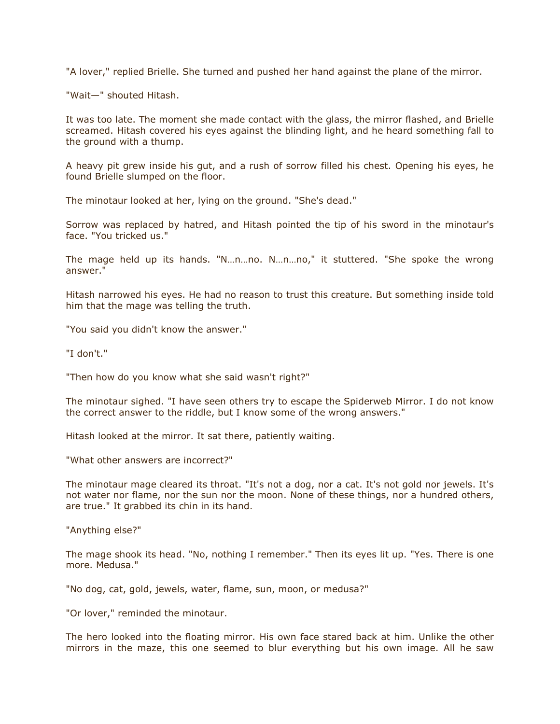"A lover," replied Brielle. She turned and pushed her hand against the plane of the mirror.

"Wait—" shouted Hitash.

It was too late. The moment she made contact with the glass, the mirror flashed, and Brielle screamed. Hitash covered his eyes against the blinding light, and he heard something fall to the ground with a thump.

A heavy pit grew inside his gut, and a rush of sorrow filled his chest. Opening his eyes, he found Brielle slumped on the floor.

The minotaur looked at her, lying on the ground. "She's dead."

Sorrow was replaced by hatred, and Hitash pointed the tip of his sword in the minotaur's face. "You tricked us."

The mage held up its hands. "N…n…no. N…n…no," it stuttered. "She spoke the wrong answer."

Hitash narrowed his eyes. He had no reason to trust this creature. But something inside told him that the mage was telling the truth.

"You said you didn't know the answer."

"I don't."

"Then how do you know what she said wasn't right?"

The minotaur sighed. "I have seen others try to escape the Spiderweb Mirror. I do not know the correct answer to the riddle, but I know some of the wrong answers."

Hitash looked at the mirror. It sat there, patiently waiting.

"What other answers are incorrect?"

The minotaur mage cleared its throat. "It's not a dog, nor a cat. It's not gold nor jewels. It's not water nor flame, nor the sun nor the moon. None of these things, nor a hundred others, are true." It grabbed its chin in its hand.

"Anything else?"

The mage shook its head. "No, nothing I remember." Then its eyes lit up. "Yes. There is one more. Medusa."

"No dog, cat, gold, jewels, water, flame, sun, moon, or medusa?"

"Or lover," reminded the minotaur.

The hero looked into the floating mirror. His own face stared back at him. Unlike the other mirrors in the maze, this one seemed to blur everything but his own image. All he saw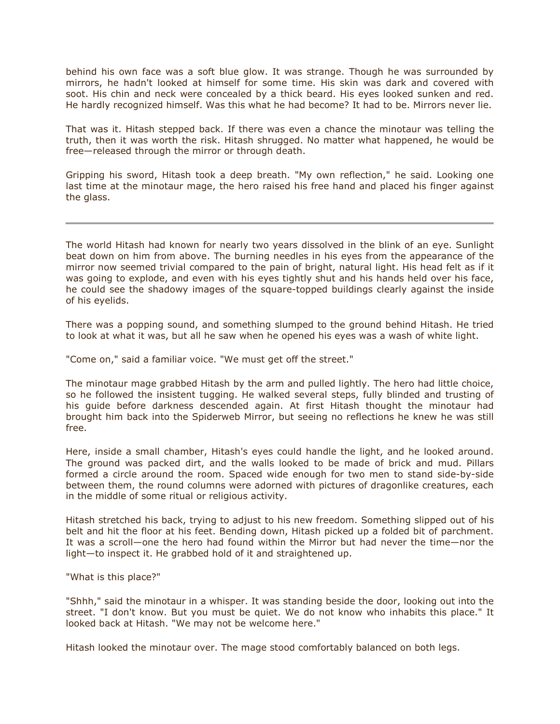behind his own face was a soft blue glow. It was strange. Though he was surrounded by mirrors, he hadn't looked at himself for some time. His skin was dark and covered with soot. His chin and neck were concealed by a thick beard. His eyes looked sunken and red. He hardly recognized himself. Was this what he had become? It had to be. Mirrors never lie.

That was it. Hitash stepped back. If there was even a chance the minotaur was telling the truth, then it was worth the risk. Hitash shrugged. No matter what happened, he would be free—released through the mirror or through death.

Gripping his sword, Hitash took a deep breath. "My own reflection," he said. Looking one last time at the minotaur mage, the hero raised his free hand and placed his finger against the glass.

The world Hitash had known for nearly two years dissolved in the blink of an eye. Sunlight beat down on him from above. The burning needles in his eyes from the appearance of the mirror now seemed trivial compared to the pain of bright, natural light. His head felt as if it was going to explode, and even with his eyes tightly shut and his hands held over his face, he could see the shadowy images of the square-topped buildings clearly against the inside of his eyelids.

There was a popping sound, and something slumped to the ground behind Hitash. He tried to look at what it was, but all he saw when he opened his eyes was a wash of white light.

"Come on," said a familiar voice. "We must get off the street."

The minotaur mage grabbed Hitash by the arm and pulled lightly. The hero had little choice, so he followed the insistent tugging. He walked several steps, fully blinded and trusting of his guide before darkness descended again. At first Hitash thought the minotaur had brought him back into the Spiderweb Mirror, but seeing no reflections he knew he was still free.

Here, inside a small chamber, Hitash's eyes could handle the light, and he looked around. The ground was packed dirt, and the walls looked to be made of brick and mud. Pillars formed a circle around the room. Spaced wide enough for two men to stand side-by-side between them, the round columns were adorned with pictures of dragonlike creatures, each in the middle of some ritual or religious activity.

Hitash stretched his back, trying to adjust to his new freedom. Something slipped out of his belt and hit the floor at his feet. Bending down, Hitash picked up a folded bit of parchment. It was a scroll—one the hero had found within the Mirror but had never the time—nor the light—to inspect it. He grabbed hold of it and straightened up.

"What is this place?"

"Shhh," said the minotaur in a whisper. It was standing beside the door, looking out into the street. "I don't know. But you must be quiet. We do not know who inhabits this place." It looked back at Hitash. "We may not be welcome here."

Hitash looked the minotaur over. The mage stood comfortably balanced on both legs.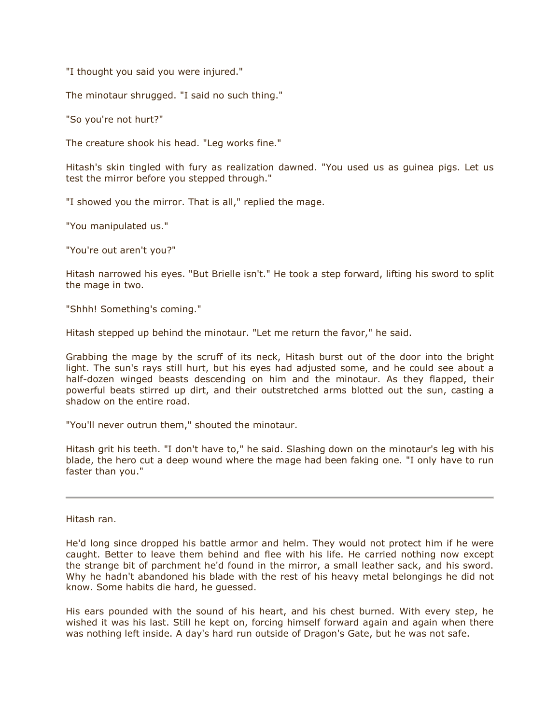"I thought you said you were injured."

The minotaur shrugged. "I said no such thing."

"So you're not hurt?"

The creature shook his head. "Leg works fine."

Hitash's skin tingled with fury as realization dawned. "You used us as guinea pigs. Let us test the mirror before you stepped through."

"I showed you the mirror. That is all," replied the mage.

"You manipulated us."

"You're out aren't you?"

Hitash narrowed his eyes. "But Brielle isn't." He took a step forward, lifting his sword to split the mage in two.

"Shhh! Something's coming."

Hitash stepped up behind the minotaur. "Let me return the favor," he said.

Grabbing the mage by the scruff of its neck, Hitash burst out of the door into the bright light. The sun's rays still hurt, but his eyes had adjusted some, and he could see about a half-dozen winged beasts descending on him and the minotaur. As they flapped, their powerful beats stirred up dirt, and their outstretched arms blotted out the sun, casting a shadow on the entire road.

"You'll never outrun them," shouted the minotaur.

Hitash grit his teeth. "I don't have to," he said. Slashing down on the minotaur's leg with his blade, the hero cut a deep wound where the mage had been faking one. "I only have to run faster than you."

Hitash ran.

He'd long since dropped his battle armor and helm. They would not protect him if he were caught. Better to leave them behind and flee with his life. He carried nothing now except the strange bit of parchment he'd found in the mirror, a small leather sack, and his sword. Why he hadn't abandoned his blade with the rest of his heavy metal belongings he did not know. Some habits die hard, he guessed.

His ears pounded with the sound of his heart, and his chest burned. With every step, he wished it was his last. Still he kept on, forcing himself forward again and again when there was nothing left inside. A day's hard run outside of Dragon's Gate, but he was not safe.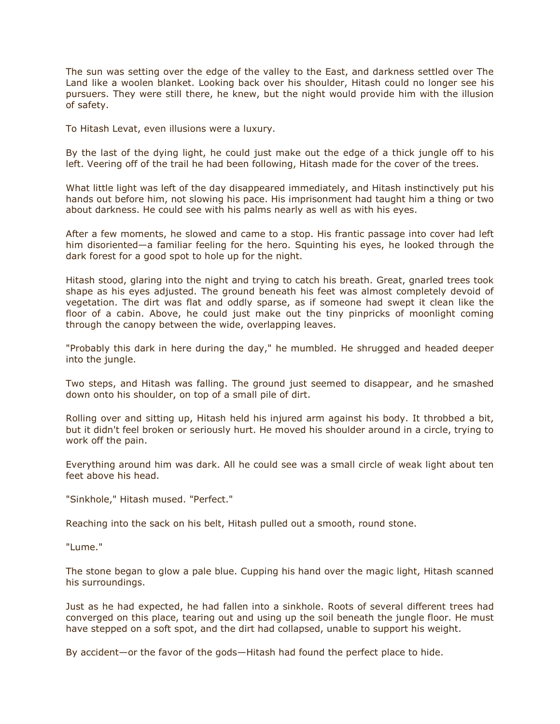The sun was setting over the edge of the valley to the East, and darkness settled over The Land like a woolen blanket. Looking back over his shoulder, Hitash could no longer see his pursuers. They were still there, he knew, but the night would provide him with the illusion of safety.

To Hitash Levat, even illusions were a luxury.

By the last of the dying light, he could just make out the edge of a thick jungle off to his left. Veering off of the trail he had been following, Hitash made for the cover of the trees.

What little light was left of the day disappeared immediately, and Hitash instinctively put his hands out before him, not slowing his pace. His imprisonment had taught him a thing or two about darkness. He could see with his palms nearly as well as with his eyes.

After a few moments, he slowed and came to a stop. His frantic passage into cover had left him disoriented—a familiar feeling for the hero. Squinting his eyes, he looked through the dark forest for a good spot to hole up for the night.

Hitash stood, glaring into the night and trying to catch his breath. Great, gnarled trees took shape as his eyes adjusted. The ground beneath his feet was almost completely devoid of vegetation. The dirt was flat and oddly sparse, as if someone had swept it clean like the floor of a cabin. Above, he could just make out the tiny pinpricks of moonlight coming through the canopy between the wide, overlapping leaves.

"Probably this dark in here during the day," he mumbled. He shrugged and headed deeper into the jungle.

Two steps, and Hitash was falling. The ground just seemed to disappear, and he smashed down onto his shoulder, on top of a small pile of dirt.

Rolling over and sitting up, Hitash held his injured arm against his body. It throbbed a bit, but it didn't feel broken or seriously hurt. He moved his shoulder around in a circle, trying to work off the pain.

Everything around him was dark. All he could see was a small circle of weak light about ten feet above his head.

"Sinkhole," Hitash mused. "Perfect."

Reaching into the sack on his belt, Hitash pulled out a smooth, round stone.

"Lume."

The stone began to glow a pale blue. Cupping his hand over the magic light, Hitash scanned his surroundings.

Just as he had expected, he had fallen into a sinkhole. Roots of several different trees had converged on this place, tearing out and using up the soil beneath the jungle floor. He must have stepped on a soft spot, and the dirt had collapsed, unable to support his weight.

By accident—or the favor of the gods—Hitash had found the perfect place to hide.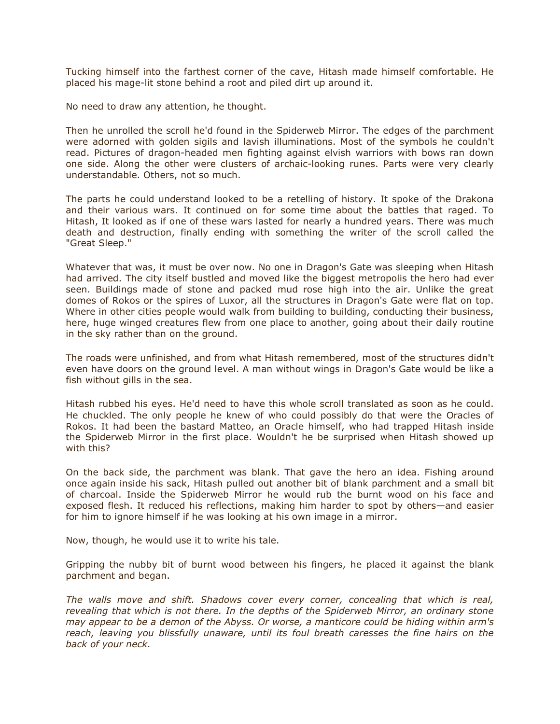Tucking himself into the farthest corner of the cave, Hitash made himself comfortable. He placed his mage-lit stone behind a root and piled dirt up around it.

No need to draw any attention, he thought.

Then he unrolled the scroll he'd found in the Spiderweb Mirror. The edges of the parchment were adorned with golden sigils and lavish illuminations. Most of the symbols he couldn't read. Pictures of dragon-headed men fighting against elvish warriors with bows ran down one side. Along the other were clusters of archaic-looking runes. Parts were very clearly understandable. Others, not so much.

The parts he could understand looked to be a retelling of history. It spoke of the Drakona and their various wars. It continued on for some time about the battles that raged. To Hitash, It looked as if one of these wars lasted for nearly a hundred years. There was much death and destruction, finally ending with something the writer of the scroll called the "Great Sleep."

Whatever that was, it must be over now. No one in Dragon's Gate was sleeping when Hitash had arrived. The city itself bustled and moved like the biggest metropolis the hero had ever seen. Buildings made of stone and packed mud rose high into the air. Unlike the great domes of Rokos or the spires of Luxor, all the structures in Dragon's Gate were flat on top. Where in other cities people would walk from building to building, conducting their business, here, huge winged creatures flew from one place to another, going about their daily routine in the sky rather than on the ground.

The roads were unfinished, and from what Hitash remembered, most of the structures didn't even have doors on the ground level. A man without wings in Dragon's Gate would be like a fish without gills in the sea.

Hitash rubbed his eyes. He'd need to have this whole scroll translated as soon as he could. He chuckled. The only people he knew of who could possibly do that were the Oracles of Rokos. It had been the bastard Matteo, an Oracle himself, who had trapped Hitash inside the Spiderweb Mirror in the first place. Wouldn't he be surprised when Hitash showed up with this?

On the back side, the parchment was blank. That gave the hero an idea. Fishing around once again inside his sack, Hitash pulled out another bit of blank parchment and a small bit of charcoal. Inside the Spiderweb Mirror he would rub the burnt wood on his face and exposed flesh. It reduced his reflections, making him harder to spot by others—and easier for him to ignore himself if he was looking at his own image in a mirror.

Now, though, he would use it to write his tale.

Gripping the nubby bit of burnt wood between his fingers, he placed it against the blank parchment and began.

The walls move and shift. Shadows cover every corner, concealing that which is real, revealing that which is not there. In the depths of the Spiderweb Mirror, an ordinary stone may appear to be a demon of the Abyss. Or worse, a manticore could be hiding within arm's reach, leaving you blissfully unaware, until its foul breath caresses the fine hairs on the back of your neck.